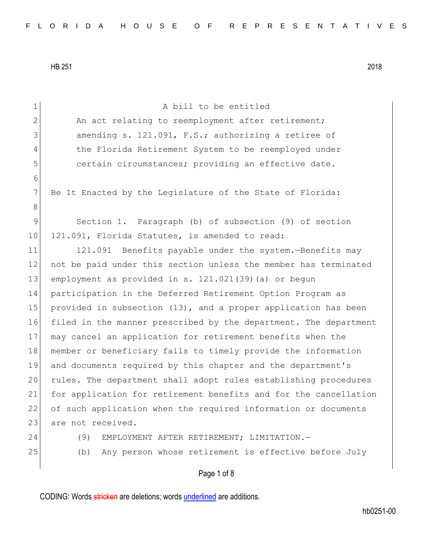1 a bill to be entitled 2 An act relating to reemployment after retirement; 3 3 amending s. 121.091, F.S.; authorizing a retiree of 4 the Florida Retirement System to be reemployed under 5 certain circumstances; providing an effective date. 6 7 Be It Enacted by the Legislature of the State of Florida: 8 9 Section 1. Paragraph (b) of subsection (9) of section 10 121.091, Florida Statutes, is amended to read: 11 121.091 Benefits payable under the system.—Benefits may 12 not be paid under this section unless the member has terminated 13 employment as provided in s. 121.021(39)(a) or begun 14 participation in the Deferred Retirement Option Program as 15 provided in subsection (13), and a proper application has been 16 filed in the manner prescribed by the department. The department 17 may cancel an application for retirement benefits when the 18 member or beneficiary fails to timely provide the information 19 and documents required by this chapter and the department's 20 rules. The department shall adopt rules establishing procedures 21 for application for retirement benefits and for the cancellation 22 of such application when the required information or documents 23 are not received. 24 (9) EMPLOYMENT AFTER RETIREMENT; LIMITATION. 25 (b) Any person whose retirement is effective before July

# Page 1 of 8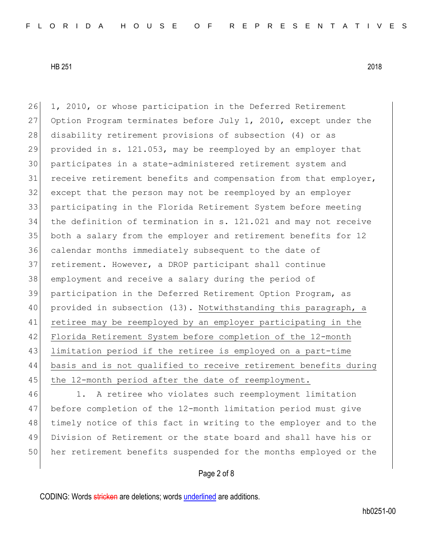26 1, 2010, or whose participation in the Deferred Retirement 27 Option Program terminates before July 1, 2010, except under the disability retirement provisions of subsection (4) or as provided in s. 121.053, may be reemployed by an employer that participates in a state-administered retirement system and 31 receive retirement benefits and compensation from that employer, except that the person may not be reemployed by an employer participating in the Florida Retirement System before meeting the definition of termination in s. 121.021 and may not receive both a salary from the employer and retirement benefits for 12 calendar months immediately subsequent to the date of retirement. However, a DROP participant shall continue employment and receive a salary during the period of participation in the Deferred Retirement Option Program, as 40 provided in subsection (13). Notwithstanding this paragraph, a retiree may be reemployed by an employer participating in the Florida Retirement System before completion of the 12-month limitation period if the retiree is employed on a part-time basis and is not qualified to receive retirement benefits during 45 the 12-month period after the date of reemployment. 1. A retiree who violates such reemployment limitation before completion of the 12-month limitation period must give 48 timely notice of this fact in writing to the employer and to the

her retirement benefits suspended for the months employed or the

Division of Retirement or the state board and shall have his or

#### Page 2 of 8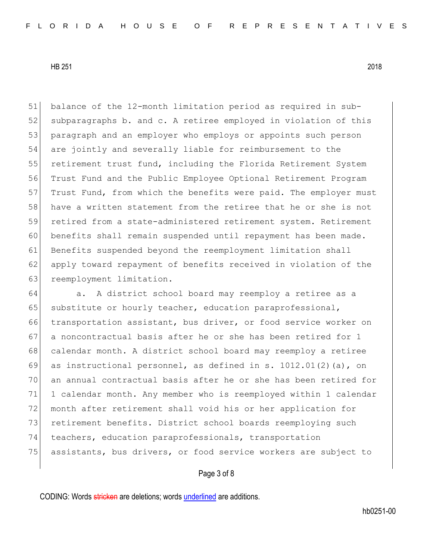51 balance of the 12-month limitation period as required in sub-52 subparagraphs b. and c. A retiree employed in violation of this 53 paragraph and an employer who employs or appoints such person 54 are jointly and severally liable for reimbursement to the 55 retirement trust fund, including the Florida Retirement System 56 Trust Fund and the Public Employee Optional Retirement Program 57 Trust Fund, from which the benefits were paid. The employer must 58 have a written statement from the retiree that he or she is not 59 retired from a state-administered retirement system. Retirement 60 benefits shall remain suspended until repayment has been made. 61 Benefits suspended beyond the reemployment limitation shall 62 apply toward repayment of benefits received in violation of the 63 reemployment limitation.

64 a. A district school board may reemploy a retiree as a 65 substitute or hourly teacher, education paraprofessional, 66 transportation assistant, bus driver, or food service worker on 67 a noncontractual basis after he or she has been retired for 1 68 calendar month. A district school board may reemploy a retiree 69 as instructional personnel, as defined in s.  $1012.01(2)(a)$ , on 70 an annual contractual basis after he or she has been retired for 71 1 calendar month. Any member who is reemployed within 1 calendar 72 month after retirement shall void his or her application for 73 retirement benefits. District school boards reemploying such 74 teachers, education paraprofessionals, transportation 75 assistants, bus drivers, or food service workers are subject to

### Page 3 of 8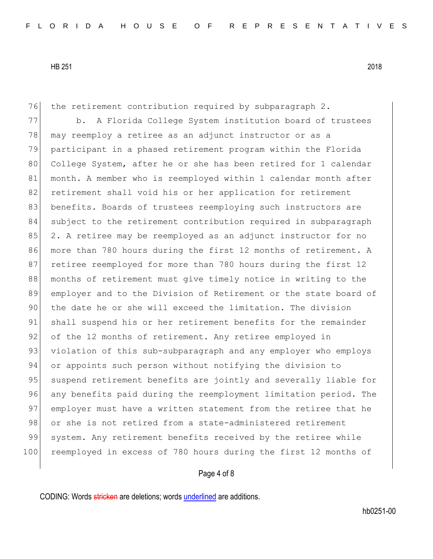76 the retirement contribution required by subparagraph 2. 77 b. A Florida College System institution board of trustees 78 may reemploy a retiree as an adjunct instructor or as a 79 participant in a phased retirement program within the Florida 80 College System, after he or she has been retired for 1 calendar 81 month. A member who is reemployed within 1 calendar month after 82 retirement shall void his or her application for retirement 83 benefits. Boards of trustees reemploying such instructors are 84 subject to the retirement contribution required in subparagraph 85 2. A retiree may be reemployed as an adjunct instructor for no 86 more than 780 hours during the first 12 months of retirement. A 87 retiree reemployed for more than 780 hours during the first 12 88 months of retirement must give timely notice in writing to the 89 employer and to the Division of Retirement or the state board of 90 the date he or she will exceed the limitation. The division 91 shall suspend his or her retirement benefits for the remainder 92 of the 12 months of retirement. Any retiree employed in 93 violation of this sub-subparagraph and any employer who employs 94 or appoints such person without notifying the division to 95 suspend retirement benefits are jointly and severally liable for 96 any benefits paid during the reemployment limitation period. The 97 employer must have a written statement from the retiree that he 98 or she is not retired from a state-administered retirement 99 system. Any retirement benefits received by the retiree while 100 reemployed in excess of 780 hours during the first 12 months of

## Page 4 of 8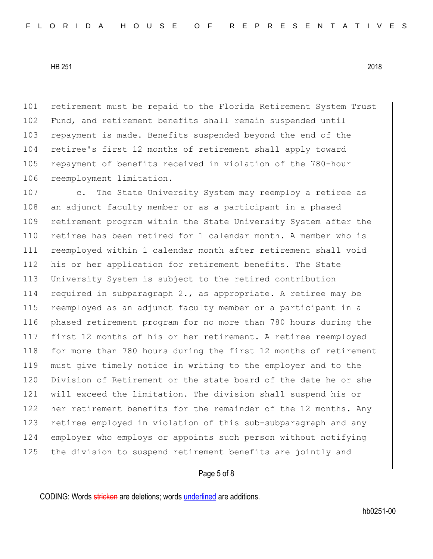101 retirement must be repaid to the Florida Retirement System Trust 102 Fund, and retirement benefits shall remain suspended until 103 repayment is made. Benefits suspended beyond the end of the 104 retiree's first 12 months of retirement shall apply toward 105 repayment of benefits received in violation of the 780-hour 106 reemployment limitation.

107 c. The State University System may reemploy a retiree as 108 an adjunct faculty member or as a participant in a phased 109 retirement program within the State University System after the 110 retiree has been retired for 1 calendar month. A member who is 111 reemployed within 1 calendar month after retirement shall void 112 his or her application for retirement benefits. The State 113 University System is subject to the retired contribution 114 required in subparagraph 2., as appropriate. A retiree may be 115 reemployed as an adjunct faculty member or a participant in a 116 phased retirement program for no more than 780 hours during the 117 first 12 months of his or her retirement. A retiree reemployed 118 for more than 780 hours during the first 12 months of retirement 119 must give timely notice in writing to the employer and to the 120 Division of Retirement or the state board of the date he or she 121 will exceed the limitation. The division shall suspend his or 122 her retirement benefits for the remainder of the 12 months. Any 123 retiree employed in violation of this sub-subparagraph and any 124 employer who employs or appoints such person without notifying 125 the division to suspend retirement benefits are jointly and

### Page 5 of 8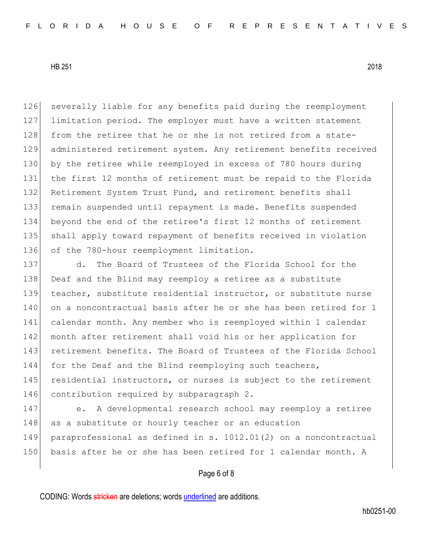severally liable for any benefits paid during the reemployment limitation period. The employer must have a written statement 128 from the retiree that he or she is not retired from a state- administered retirement system. Any retirement benefits received by the retiree while reemployed in excess of 780 hours during the first 12 months of retirement must be repaid to the Florida 132 Retirement System Trust Fund, and retirement benefits shall remain suspended until repayment is made. Benefits suspended beyond the end of the retiree's first 12 months of retirement shall apply toward repayment of benefits received in violation 136 of the 780-hour reemployment limitation.

137 d. The Board of Trustees of the Florida School for the 138 Deaf and the Blind may reemploy a retiree as a substitute 139 teacher, substitute residential instructor, or substitute nurse 140 on a noncontractual basis after he or she has been retired for 1 141 calendar month. Any member who is reemployed within 1 calendar 142 month after retirement shall void his or her application for 143 retirement benefits. The Board of Trustees of the Florida School 144 for the Deaf and the Blind reemploying such teachers, 145 residential instructors, or nurses is subject to the retirement 146 contribution required by subparagraph 2.

147 | e. A developmental research school may reemploy a retiree 148 as a substitute or hourly teacher or an education 149 paraprofessional as defined in s. 1012.01(2) on a noncontractual 150 basis after he or she has been retired for 1 calendar month. A

## Page 6 of 8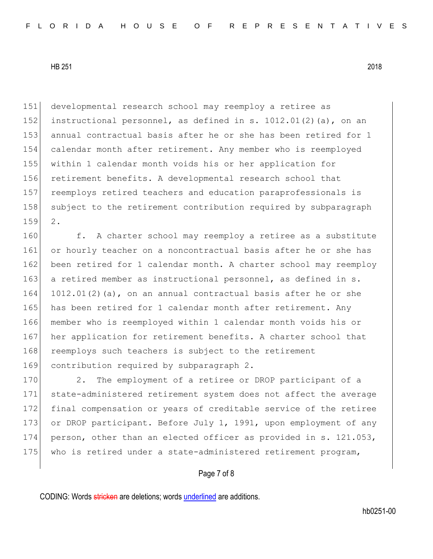151 developmental research school may reemploy a retiree as 152 instructional personnel, as defined in s. 1012.01(2)(a), on an 153 annual contractual basis after he or she has been retired for 1 154 calendar month after retirement. Any member who is reemployed 155 within 1 calendar month voids his or her application for 156 retirement benefits. A developmental research school that 157 reemploys retired teachers and education paraprofessionals is 158 subject to the retirement contribution required by subparagraph 159 2.

160 f. A charter school may reemploy a retiree as a substitute 161 or hourly teacher on a noncontractual basis after he or she has 162 been retired for 1 calendar month. A charter school may reemploy 163 a retired member as instructional personnel, as defined in s. 164 1012.01(2)(a), on an annual contractual basis after he or she 165 has been retired for 1 calendar month after retirement. Any 166 member who is reemployed within 1 calendar month voids his or 167 her application for retirement benefits. A charter school that 168 reemploys such teachers is subject to the retirement 169 contribution required by subparagraph 2.

170 2. The employment of a retiree or DROP participant of a 171 state-administered retirement system does not affect the average 172 final compensation or years of creditable service of the retiree 173 or DROP participant. Before July 1, 1991, upon employment of any 174 person, other than an elected officer as provided in s. 121.053, 175 who is retired under a state-administered retirement program,

### Page 7 of 8